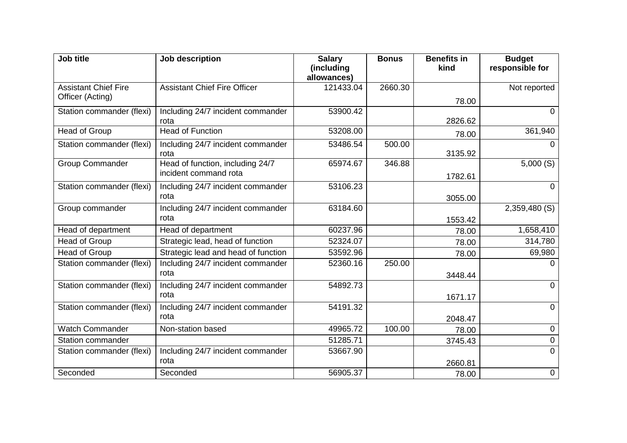| Job title                   | Job description                                           | <b>Salary</b><br>(including<br>allowances) | <b>Bonus</b> | <b>Benefits in</b><br>kind | <b>Budget</b><br>responsible for |
|-----------------------------|-----------------------------------------------------------|--------------------------------------------|--------------|----------------------------|----------------------------------|
| <b>Assistant Chief Fire</b> | <b>Assistant Chief Fire Officer</b>                       | 121433.04                                  | 2660.30      |                            | Not reported                     |
| Officer (Acting)            |                                                           |                                            |              | 78.00                      |                                  |
| Station commander (flexi)   | Including 24/7 incident commander<br>rota                 | 53900.42                                   |              | 2826.62                    | 0                                |
| Head of Group               | <b>Head of Function</b>                                   | 53208.00                                   |              | 78.00                      | 361,940                          |
| Station commander (flexi)   | Including 24/7 incident commander<br>rota                 | 53486.54                                   | 500.00       | 3135.92                    | 0                                |
| <b>Group Commander</b>      | Head of function, including 24/7<br>incident command rota | 65974.67                                   | 346.88       | 1782.61                    | 5,000(S)                         |
| Station commander (flexi)   | Including 24/7 incident commander<br>rota                 | 53106.23                                   |              |                            | $\Omega$                         |
| Group commander             | Including 24/7 incident commander                         | 63184.60                                   |              | 3055.00                    | 2,359,480 (S)                    |
|                             | rota                                                      |                                            |              | 1553.42                    |                                  |
| Head of department          | Head of department                                        | 60237.96                                   |              | 78.00                      | 1,658,410                        |
| <b>Head of Group</b>        | Strategic lead, head of function                          | 52324.07                                   |              | 78.00                      | 314,780                          |
| Head of Group               | Strategic lead and head of function                       | 53592.96                                   |              | 78.00                      | 69,980                           |
| Station commander (flexi)   | Including 24/7 incident commander<br>rota                 | 52360.16                                   | 250.00       | 3448.44                    | 0                                |
| Station commander (flexi)   | Including 24/7 incident commander                         | 54892.73                                   |              |                            | 0                                |
|                             | rota                                                      |                                            |              | 1671.17                    |                                  |
| Station commander (flexi)   | Including 24/7 incident commander                         | 54191.32                                   |              |                            | $\Omega$                         |
|                             | rota                                                      |                                            |              | 2048.47                    |                                  |
| <b>Watch Commander</b>      | Non-station based                                         | 49965.72                                   | 100.00       | 78.00                      | 0                                |
| <b>Station commander</b>    |                                                           | 51285.71                                   |              | 3745.43                    | 0                                |
| Station commander (flexi)   | Including 24/7 incident commander<br>rota                 | 53667.90                                   |              |                            | $\Omega$                         |
| Seconded                    | Seconded                                                  | 56905.37                                   |              | 2660.81                    | $\pmb{0}$                        |
|                             |                                                           |                                            |              | 78.00                      |                                  |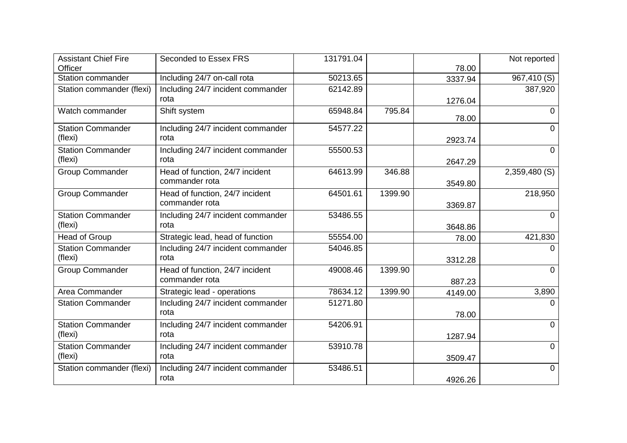| <b>Assistant Chief Fire</b> | Seconded to Essex FRS             | 131791.04 |         |         | Not reported   |
|-----------------------------|-----------------------------------|-----------|---------|---------|----------------|
| Officer                     |                                   |           |         | 78.00   |                |
| <b>Station commander</b>    | Including 24/7 on-call rota       | 50213.65  |         | 3337.94 | 967,410 (S)    |
| Station commander (flexi)   | Including 24/7 incident commander | 62142.89  |         |         | 387,920        |
|                             | rota                              |           |         | 1276.04 |                |
| Watch commander             | Shift system                      | 65948.84  | 795.84  | 78.00   | $\Omega$       |
| <b>Station Commander</b>    | Including 24/7 incident commander | 54577.22  |         |         | $\Omega$       |
| (flexi)                     | rota                              |           |         | 2923.74 |                |
| <b>Station Commander</b>    | Including 24/7 incident commander | 55500.53  |         |         | $\overline{0}$ |
| (flexi)                     | rota                              |           |         | 2647.29 |                |
| <b>Group Commander</b>      | Head of function, 24/7 incident   | 64613.99  | 346.88  |         | 2,359,480 (S)  |
|                             | commander rota                    |           |         | 3549.80 |                |
| <b>Group Commander</b>      | Head of function, 24/7 incident   | 64501.61  | 1399.90 |         | 218,950        |
|                             | commander rota                    |           |         | 3369.87 |                |
| <b>Station Commander</b>    | Including 24/7 incident commander | 53486.55  |         |         | $\Omega$       |
| (flexi)                     | rota                              |           |         | 3648.86 |                |
| Head of Group               | Strategic lead, head of function  | 55554.00  |         | 78.00   | 421,830        |
| <b>Station Commander</b>    | Including 24/7 incident commander | 54046.85  |         |         | 0              |
| (flexi)                     | rota                              |           |         | 3312.28 |                |
| <b>Group Commander</b>      | Head of function, 24/7 incident   | 49008.46  | 1399.90 |         | $\Omega$       |
|                             | commander rota                    |           |         | 887.23  |                |
| Area Commander              | Strategic lead - operations       | 78634.12  | 1399.90 | 4149.00 | 3,890          |
| <b>Station Commander</b>    | Including 24/7 incident commander | 51271.80  |         |         | 0              |
|                             | rota                              |           |         | 78.00   |                |
| <b>Station Commander</b>    | Including 24/7 incident commander | 54206.91  |         |         | 0              |
| (flexi)                     | rota                              |           |         | 1287.94 |                |
| <b>Station Commander</b>    | Including 24/7 incident commander | 53910.78  |         |         | $\Omega$       |
| (flexi)                     | rota                              |           |         | 3509.47 |                |
| Station commander (flexi)   | Including 24/7 incident commander | 53486.51  |         |         | 0              |
|                             | rota                              |           |         | 4926.26 |                |